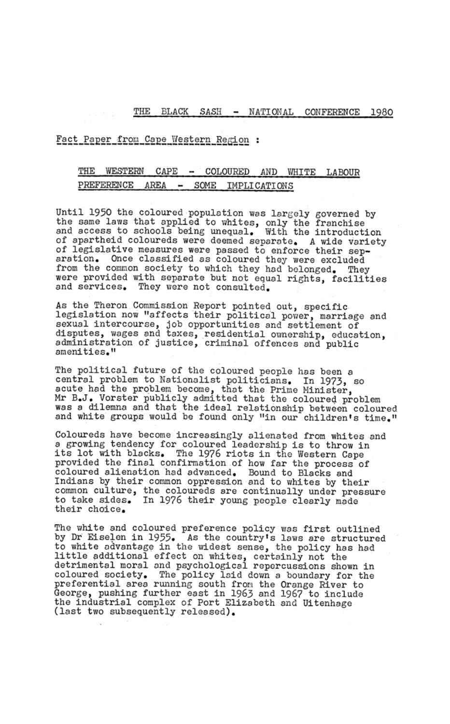THE BLACK SASH - NATIONAL CONFERENCE 1980

Fact Paper from Cape Western Region :

## THE WESTERN  $\mathtt{CAPE}$ COLOURED AND WHITE  $\sim$ LABOUR AREA PREFERENCE SOME  $\overline{\phantom{0}}$ IMPLICATIONS

Until 1950 the coloured population was largely governed by the same laws that applied to whites, only the franchise and access to schools being unequal. With the introduction of apartheid coloureds were deemed separate. A wide variety of legislative measures were passed to enforce their separation. Once classified as coloured they were excluded from the common society to which they had belonged. They were provided with separate but not equal rights, facilities and services. They were not consulted.

As the Theron Commission Report pointed out, specific legislation now "affects their political power, marriage and sexual intercourse, job opportunities and settlement of disputes, wages and taxes, residential ownership, education, administration of justice, criminal offences and public amenities."

The political future of the coloured people has been a central problem to Nationalist politicians. In 1973, so acute had the problem become, that the Prime Minister, Mr B.J. Vorster publicly admitted that the coloured problem was a dilemna and that the ideal relationship between coloured and white groups would be found only "in our children's time."

Coloureds have become increasingly alienated from whites and a growing tendency for coloured leadership is to throw in its lot with blacks. The 1976 riots in the Western Cape provided the final confirmation of how far the process of coloured alienation had advanced. Bound to Blacks and Indians by their common oppression and to whites by their common culture, the coloureds are continually under pressure to take sides. In 1976 their young people clearly made their choice.

The white and coloured preference policy was first outlined by Dr Eiselen in 1955. As the country's laws are structured to white advantage in the widest sense, the policy has had little additional effect on whites, certainly not the detrimental moral and psychological repercussions shown in coloured society. The policy laid down a boundary for the preferential area running south from the Orange River to George, pushing further east in 1963 and 1967 to include the industrial complex of Port Elizabeth and Uitenhage (last two subsequently released).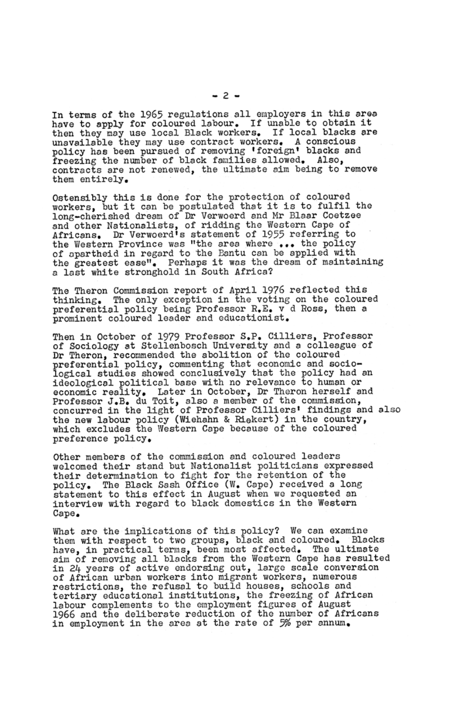In terms of the 1965 regulations all employers in this area have to apply for coloured labour. If unable to obtain it then they may use local Black workers. If local blacks are unavailable they may use contract workers. A conscious policy has been pursued of removing 'foreign' blacks and freezing the number of black families allowed. Also. contracts are not renewed, the ultimate aim being to remove them entirely.

Ostensibly this is done for the protection of coloured workers, but it can be postulated that it is to fulfil the long-cherished dream of Dr Verwoerd and Mr Blaar Coetzee and other Nationalists, of ridding the Western Cape of Africans. Dr Verwoerd's statement of 1955 referring to the Western Province was "the area where ... the policy of apartheid in regard to the Bantu can be applied with the greatest ease". Perhaps it was the dream of maintaining a last white stronghold in South Africa?

The Theron Commission report of April 1976 reflected this thinking. The only exception in the voting on the coloured preferential policy being Professor R.E. v d Ross, then a prominent coloured leader and educationist.

Then in October of 1979 Professor S.P. Cilliers, Professor of Sociology at Stellenbosch University and a colleague of Dr Theron, recommended the abolition of the coloured preferential policy, commenting that economic and sociological studies showed conclusively that the policy had an ideological political base with no relevance to human or economic reality. Later in October, Dr Theron herself and Professor J.B. du Toit, also a member of the commission, concurred in the light of Professor Cilliers' findings and also the new labour policy (Wiehahn & Riekert) in the country. which excludes the Western Cape because of the coloured preference policy.

Other members of the commission and coloured leaders welcomed their stand but Nationalist politicians expressed their determination to fight for the retention of the policy. The Black Sash Office (W. Cape) received a long statement to this effect in August when we requested an interview with regard to black domestics in the Western

Cape.

What are the implications of this policy? We can examine them with respect to two groups, black and coloured. Blacks have, in practical terms, been most affected. The ultimate aim of removing all blacks from the Western Cape has resulted in 24 years of active endorsing out, large scale conversion of African urban workers into migrant workers, numerous restrictions, the refusal to build houses, schools and tertiary educational institutions, the freezing of African labour complements to the employment figures of August 1966 and the deliberate reduction of the number of Africans in employment in the area at the rate of 5% per annum.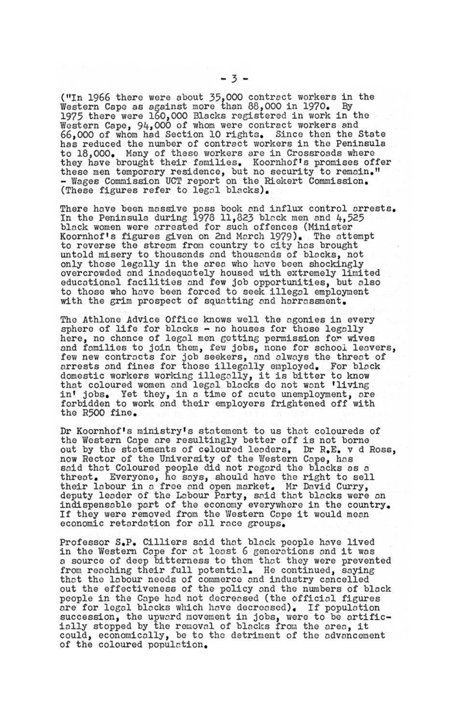("In 1966 there were about  $35,000$  contract workers in the Western Cape as against more than 88,000 in 1970. By 1975 there were 160,000 Blacks reGistered 1n work 1n tho Western Cape, 94,000 of whom were contract workers and 66,000 of whom had Section 10 right3. Since then the State has reduced the number of contract workers 1n tho Peninsula to 18.000. Many of these workers are in Crossroads where they have brought their families. Koornhof's promises offer these men tomporary residence, but no aecurity to remain." - Wages Commission UCT report on the Rickert Commission. (These figures refer to legal blacks).

There have been massive pass book and influx control arrests. In the Peninsula during 1978 11,823 black men and 4.525 black women were arrested for such offences (Minister<br>Koornhof's figures given on 2nd March 1979). The attempt to reverse the stream from country to city has brought untold misery to thousands and thousands of blacks, not only those legally in the area who have been shockingly<br>overcrowded and inadequately housed with extremely limited educationol facilities ond few job opportunities, but olso to those who have been forced to seek illegal employment<br>with the grim prospect of squatting and harrassment.

Dr Koornhof's ministry1s statement to us that coloureds of the Western Cope ore resultingly better off is not borno out by the statements of coloured leaders. Dr R.E. v d Ross, now Rector of the University of the Western Cope, hos said that Coloured people did not regard the blacks as a threat. Everyone, he says, should have the right to sell<br>their labour in a free and open market. Mr David Curry, deputy leader of the Labour Party, said that blacks were an indispensable part of the economy everywhere in the country.<br>If they were removed from the Western Cape it would mean economic retardation for all race groups.

Tho Athlone Advice Offico knows well the ogonies in every sphere of life for blocks - no houses for those logolly here. no chonce of logol mon aetting permission *for* wives and families to join them, few jobs, none for school leavers, few new contracts for job seekers, and always the threat of arrests and fines for those illegally employed. For black domestic workers working illegally, it is bitter to know that coloured women and legal blacks do not want 'living in' jobs. Yet they, in a time of acute unemployment, are forbidden to work and thoir employers frightened off with the R500 fine.

Professor S.P. Cilliers soid that block people hove lived in the Western Cape for at least 6 generations and it was<br>a source of deep bitterness to them that they were prevented from reaching their full potential. He continued, saying that the labour needs of commerce and industry cancelled out the effectiveness of the policy and the numbers of black people in the Cape had not decreased (the official figures<br>are for legal blacks which have decreased). If population succession, the upward movement in jobs, were to be artificially stopped by the removal of blacks from the area, it could, economically, be to the detriment of the advancement of the coloured population.